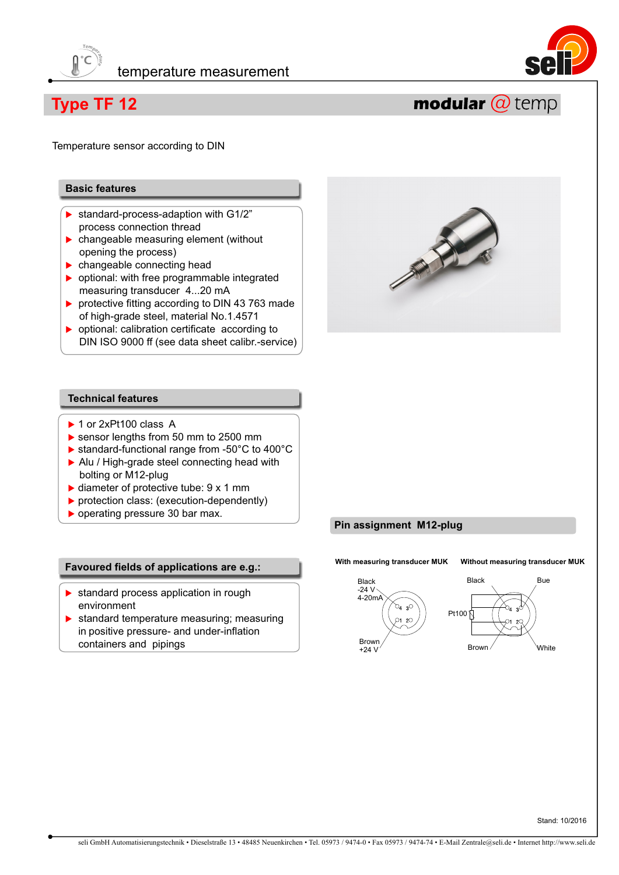



## **Type TF 12**

Temperature sensor according to DIN

#### **Basic features**

- ▶ standard-process-adaption with G1/2" process connection thread
- **changeable measuring element (without** opening the process)
- **E** changeable connecting head
- $\triangleright$  optional: with free programmable integrated measuring transducer 4...20 mA
- $\blacktriangleright$  protective fitting according to DIN 43 763 made of high-grade steel, material No.1.4571
- **D** optional: calibration certificate according to DIN ISO 9000 ff (see data sheet calibr.-service)



modular @ temp

#### **Technical features**

- ▶ 1 or 2xPt100 class A
- ▶ sensor lengths from 50 mm to 2500 mm
- $\blacktriangleright$  standard-functional range from -50°C to 400°C
- ▶ Alu / High-grade steel connecting head with bolting or M12-plug
- $\blacktriangleright$  diameter of protective tube:  $9 \times 1$  mm
- protection class: (execution-dependently)
- **D** operating pressure 30 bar max.

#### **Favoured fields of applications are e.g.:**

- **Exercise 3 application in rough** environment
- **Standard temperature measuring; measuring**  in positive pressure- and under-inflation containers and pipings

#### **Pin assignment M12-plug**

**With measuring transducer MUK Without measuring transducer MUK**





Stand: 10/2016